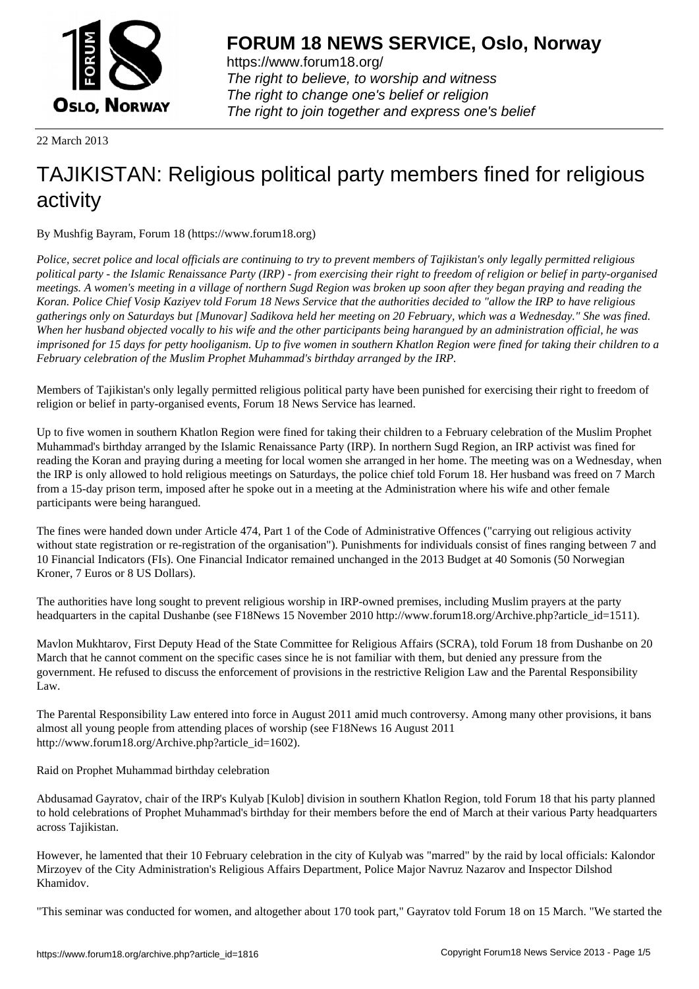

https://www.forum18.org/ The right to believe, to worship and witness The right to change one's belief or religion [The right to join together a](https://www.forum18.org/)nd express one's belief

22 March 2013

# [TAJIKISTAN: R](https://www.forum18.org)eligious political party members fined for religious activity

By Mushfig Bayram, Forum 18 (https://www.forum18.org)

*Police, secret police and local officials are continuing to try to prevent members of Tajikistan's only legally permitted religious political party - the Islamic Renaissance Party (IRP) - from exercising their right to freedom of religion or belief in party-organised meetings. A women's meeting in a village of northern Sugd Region was broken up soon after they began praying and reading the Koran. Police Chief Vosip Kaziyev told Forum 18 News Service that the authorities decided to "allow the IRP to have religious gatherings only on Saturdays but [Munovar] Sadikova held her meeting on 20 February, which was a Wednesday." She was fined. When her husband objected vocally to his wife and the other participants being harangued by an administration official, he was imprisoned for 15 days for petty hooliganism. Up to five women in southern Khatlon Region were fined for taking their children to a February celebration of the Muslim Prophet Muhammad's birthday arranged by the IRP.*

Members of Tajikistan's only legally permitted religious political party have been punished for exercising their right to freedom of religion or belief in party-organised events, Forum 18 News Service has learned.

Up to five women in southern Khatlon Region were fined for taking their children to a February celebration of the Muslim Prophet Muhammad's birthday arranged by the Islamic Renaissance Party (IRP). In northern Sugd Region, an IRP activist was fined for reading the Koran and praying during a meeting for local women she arranged in her home. The meeting was on a Wednesday, when the IRP is only allowed to hold religious meetings on Saturdays, the police chief told Forum 18. Her husband was freed on 7 March from a 15-day prison term, imposed after he spoke out in a meeting at the Administration where his wife and other female participants were being harangued.

The fines were handed down under Article 474, Part 1 of the Code of Administrative Offences ("carrying out religious activity without state registration or re-registration of the organisation"). Punishments for individuals consist of fines ranging between 7 and 10 Financial Indicators (FIs). One Financial Indicator remained unchanged in the 2013 Budget at 40 Somonis (50 Norwegian Kroner, 7 Euros or 8 US Dollars).

The authorities have long sought to prevent religious worship in IRP-owned premises, including Muslim prayers at the party headquarters in the capital Dushanbe (see F18News 15 November 2010 http://www.forum18.org/Archive.php?article\_id=1511).

Mavlon Mukhtarov, First Deputy Head of the State Committee for Religious Affairs (SCRA), told Forum 18 from Dushanbe on 20 March that he cannot comment on the specific cases since he is not familiar with them, but denied any pressure from the government. He refused to discuss the enforcement of provisions in the restrictive Religion Law and the Parental Responsibility Law.

The Parental Responsibility Law entered into force in August 2011 amid much controversy. Among many other provisions, it bans almost all young people from attending places of worship (see F18News 16 August 2011 http://www.forum18.org/Archive.php?article\_id=1602).

Raid on Prophet Muhammad birthday celebration

Abdusamad Gayratov, chair of the IRP's Kulyab [Kulob] division in southern Khatlon Region, told Forum 18 that his party planned to hold celebrations of Prophet Muhammad's birthday for their members before the end of March at their various Party headquarters across Tajikistan.

However, he lamented that their 10 February celebration in the city of Kulyab was "marred" by the raid by local officials: Kalondor Mirzoyev of the City Administration's Religious Affairs Department, Police Major Navruz Nazarov and Inspector Dilshod Khamidov.

"This seminar was conducted for women, and altogether about 170 took part," Gayratov told Forum 18 on 15 March. "We started the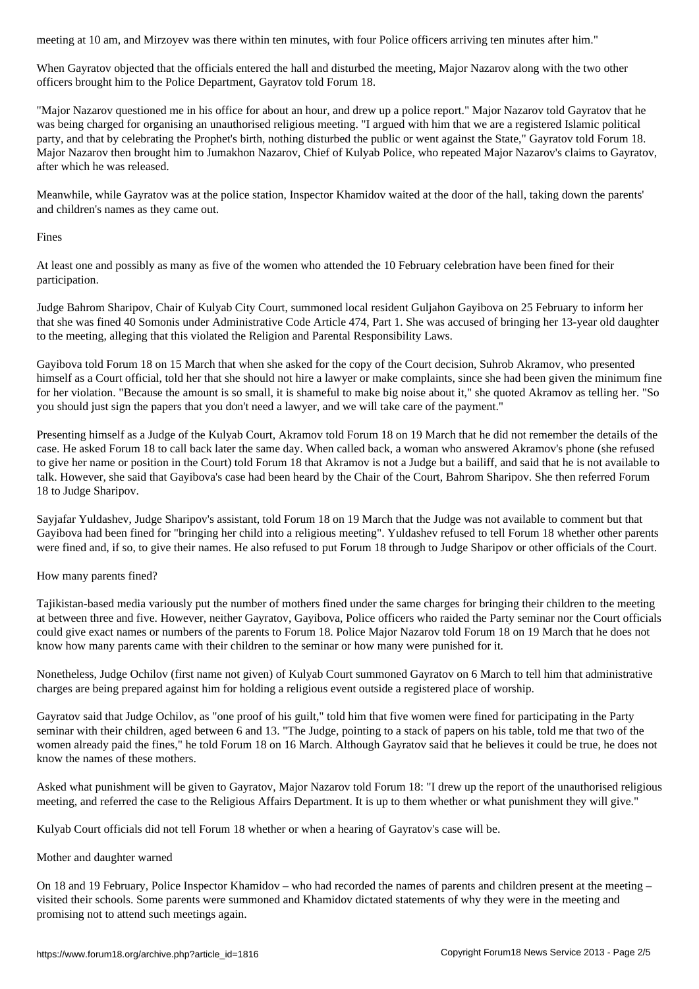When Gayratov objected that the officials entered the hall and disturbed the meeting, Major Nazarov along with the two other officers brought him to the Police Department, Gayratov told Forum 18.

"Major Nazarov questioned me in his office for about an hour, and drew up a police report." Major Nazarov told Gayratov that he was being charged for organising an unauthorised religious meeting. "I argued with him that we are a registered Islamic political party, and that by celebrating the Prophet's birth, nothing disturbed the public or went against the State," Gayratov told Forum 18. Major Nazarov then brought him to Jumakhon Nazarov, Chief of Kulyab Police, who repeated Major Nazarov's claims to Gayratov, after which he was released.

Meanwhile, while Gayratov was at the police station, Inspector Khamidov waited at the door of the hall, taking down the parents' and children's names as they came out.

Fines

At least one and possibly as many as five of the women who attended the 10 February celebration have been fined for their participation.

Judge Bahrom Sharipov, Chair of Kulyab City Court, summoned local resident Guljahon Gayibova on 25 February to inform her that she was fined 40 Somonis under Administrative Code Article 474, Part 1. She was accused of bringing her 13-year old daughter to the meeting, alleging that this violated the Religion and Parental Responsibility Laws.

Gayibova told Forum 18 on 15 March that when she asked for the copy of the Court decision, Suhrob Akramov, who presented himself as a Court official, told her that she should not hire a lawyer or make complaints, since she had been given the minimum fine for her violation. "Because the amount is so small, it is shameful to make big noise about it," she quoted Akramov as telling her. "So you should just sign the papers that you don't need a lawyer, and we will take care of the payment."

Presenting himself as a Judge of the Kulyab Court, Akramov told Forum 18 on 19 March that he did not remember the details of the case. He asked Forum 18 to call back later the same day. When called back, a woman who answered Akramov's phone (she refused to give her name or position in the Court) told Forum 18 that Akramov is not a Judge but a bailiff, and said that he is not available to talk. However, she said that Gayibova's case had been heard by the Chair of the Court, Bahrom Sharipov. She then referred Forum 18 to Judge Sharipov.

Sayjafar Yuldashev, Judge Sharipov's assistant, told Forum 18 on 19 March that the Judge was not available to comment but that Gayibova had been fined for "bringing her child into a religious meeting". Yuldashev refused to tell Forum 18 whether other parents were fined and, if so, to give their names. He also refused to put Forum 18 through to Judge Sharipov or other officials of the Court.

How many parents fined?

Tajikistan-based media variously put the number of mothers fined under the same charges for bringing their children to the meeting at between three and five. However, neither Gayratov, Gayibova, Police officers who raided the Party seminar nor the Court officials could give exact names or numbers of the parents to Forum 18. Police Major Nazarov told Forum 18 on 19 March that he does not know how many parents came with their children to the seminar or how many were punished for it.

Nonetheless, Judge Ochilov (first name not given) of Kulyab Court summoned Gayratov on 6 March to tell him that administrative charges are being prepared against him for holding a religious event outside a registered place of worship.

Gayratov said that Judge Ochilov, as "one proof of his guilt," told him that five women were fined for participating in the Party seminar with their children, aged between 6 and 13. "The Judge, pointing to a stack of papers on his table, told me that two of the women already paid the fines," he told Forum 18 on 16 March. Although Gayratov said that he believes it could be true, he does not know the names of these mothers.

Asked what punishment will be given to Gayratov, Major Nazarov told Forum 18: "I drew up the report of the unauthorised religious meeting, and referred the case to the Religious Affairs Department. It is up to them whether or what punishment they will give."

Kulyab Court officials did not tell Forum 18 whether or when a hearing of Gayratov's case will be.

Mother and daughter warned

On 18 and 19 February, Police Inspector Khamidov – who had recorded the names of parents and children present at the meeting – visited their schools. Some parents were summoned and Khamidov dictated statements of why they were in the meeting and promising not to attend such meetings again.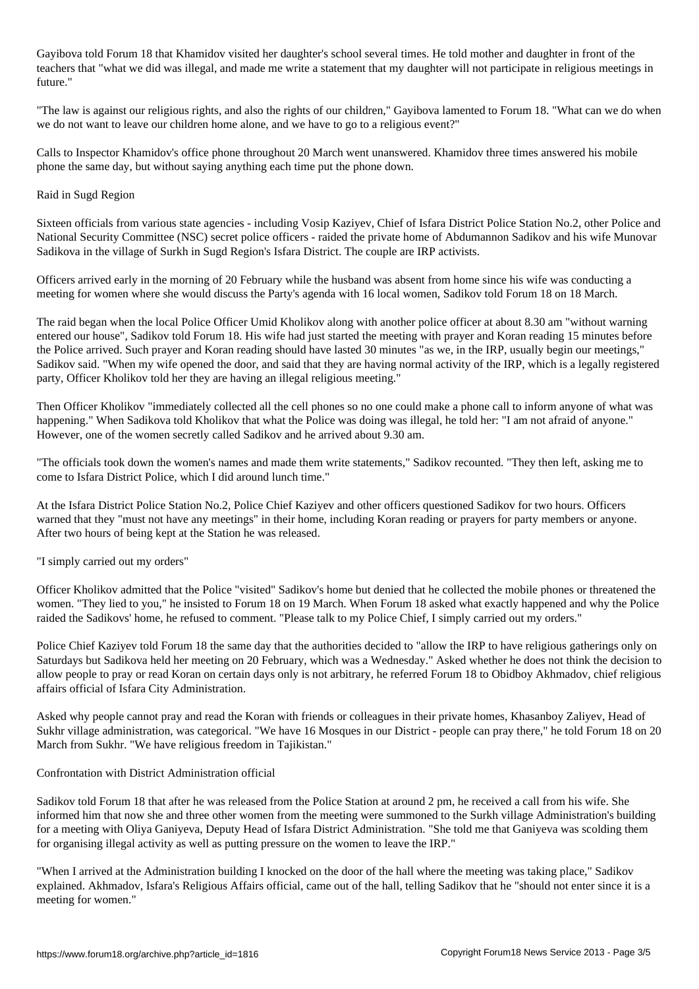Gayibova told Forum 18 that Khamidov visited her daughter's school several times. He told mother and daughter in front of the teachers that "what we did was illegal, and made me write a statement that my daughter will not participate in religious meetings in future."

"The law is against our religious rights, and also the rights of our children," Gayibova lamented to Forum 18. "What can we do when we do not want to leave our children home alone, and we have to go to a religious event?"

Calls to Inspector Khamidov's office phone throughout 20 March went unanswered. Khamidov three times answered his mobile phone the same day, but without saying anything each time put the phone down.

### Raid in Sugd Region

Sixteen officials from various state agencies - including Vosip Kaziyev, Chief of Isfara District Police Station No.2, other Police and National Security Committee (NSC) secret police officers - raided the private home of Abdumannon Sadikov and his wife Munovar Sadikova in the village of Surkh in Sugd Region's Isfara District. The couple are IRP activists.

Officers arrived early in the morning of 20 February while the husband was absent from home since his wife was conducting a meeting for women where she would discuss the Party's agenda with 16 local women, Sadikov told Forum 18 on 18 March.

The raid began when the local Police Officer Umid Kholikov along with another police officer at about 8.30 am "without warning entered our house", Sadikov told Forum 18. His wife had just started the meeting with prayer and Koran reading 15 minutes before the Police arrived. Such prayer and Koran reading should have lasted 30 minutes "as we, in the IRP, usually begin our meetings," Sadikov said. "When my wife opened the door, and said that they are having normal activity of the IRP, which is a legally registered party, Officer Kholikov told her they are having an illegal religious meeting."

Then Officer Kholikov "immediately collected all the cell phones so no one could make a phone call to inform anyone of what was happening." When Sadikova told Kholikov that what the Police was doing was illegal, he told her: "I am not afraid of anyone." However, one of the women secretly called Sadikov and he arrived about 9.30 am.

"The officials took down the women's names and made them write statements," Sadikov recounted. "They then left, asking me to come to Isfara District Police, which I did around lunch time."

At the Isfara District Police Station No.2, Police Chief Kaziyev and other officers questioned Sadikov for two hours. Officers warned that they "must not have any meetings" in their home, including Koran reading or prayers for party members or anyone. After two hours of being kept at the Station he was released.

"I simply carried out my orders"

Officer Kholikov admitted that the Police "visited" Sadikov's home but denied that he collected the mobile phones or threatened the women. "They lied to you," he insisted to Forum 18 on 19 March. When Forum 18 asked what exactly happened and why the Police raided the Sadikovs' home, he refused to comment. "Please talk to my Police Chief, I simply carried out my orders."

Police Chief Kaziyev told Forum 18 the same day that the authorities decided to "allow the IRP to have religious gatherings only on Saturdays but Sadikova held her meeting on 20 February, which was a Wednesday." Asked whether he does not think the decision to allow people to pray or read Koran on certain days only is not arbitrary, he referred Forum 18 to Obidboy Akhmadov, chief religious affairs official of Isfara City Administration.

Asked why people cannot pray and read the Koran with friends or colleagues in their private homes, Khasanboy Zaliyev, Head of Sukhr village administration, was categorical. "We have 16 Mosques in our District - people can pray there," he told Forum 18 on 20 March from Sukhr. "We have religious freedom in Tajikistan."

## Confrontation with District Administration official

Sadikov told Forum 18 that after he was released from the Police Station at around 2 pm, he received a call from his wife. She informed him that now she and three other women from the meeting were summoned to the Surkh village Administration's building for a meeting with Oliya Ganiyeva, Deputy Head of Isfara District Administration. "She told me that Ganiyeva was scolding them for organising illegal activity as well as putting pressure on the women to leave the IRP."

"When I arrived at the Administration building I knocked on the door of the hall where the meeting was taking place," Sadikov explained. Akhmadov, Isfara's Religious Affairs official, came out of the hall, telling Sadikov that he "should not enter since it is a meeting for women."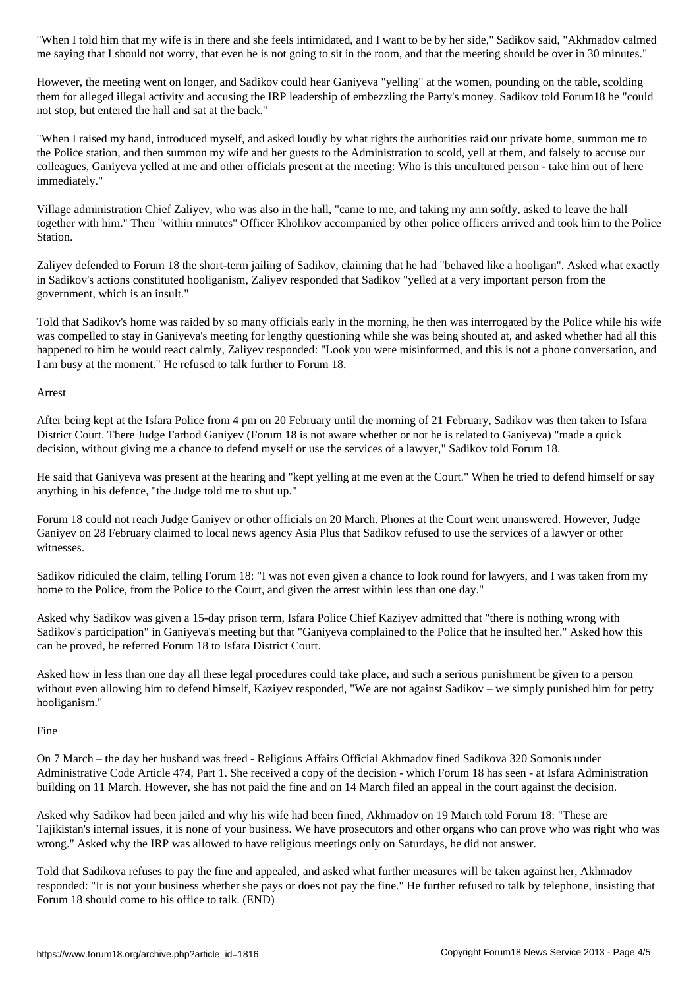me saying that I should not worry, that even he is not going to sit in the room, and that the meeting should be over in 30 minutes."

However, the meeting went on longer, and Sadikov could hear Ganiyeva "yelling" at the women, pounding on the table, scolding them for alleged illegal activity and accusing the IRP leadership of embezzling the Party's money. Sadikov told Forum18 he "could not stop, but entered the hall and sat at the back."

"When I raised my hand, introduced myself, and asked loudly by what rights the authorities raid our private home, summon me to the Police station, and then summon my wife and her guests to the Administration to scold, yell at them, and falsely to accuse our colleagues, Ganiyeva yelled at me and other officials present at the meeting: Who is this uncultured person - take him out of here immediately."

Village administration Chief Zaliyev, who was also in the hall, "came to me, and taking my arm softly, asked to leave the hall together with him." Then "within minutes" Officer Kholikov accompanied by other police officers arrived and took him to the Police Station.

Zaliyev defended to Forum 18 the short-term jailing of Sadikov, claiming that he had "behaved like a hooligan". Asked what exactly in Sadikov's actions constituted hooliganism, Zaliyev responded that Sadikov "yelled at a very important person from the government, which is an insult."

Told that Sadikov's home was raided by so many officials early in the morning, he then was interrogated by the Police while his wife was compelled to stay in Ganiyeva's meeting for lengthy questioning while she was being shouted at, and asked whether had all this happened to him he would react calmly, Zaliyev responded: "Look you were misinformed, and this is not a phone conversation, and I am busy at the moment." He refused to talk further to Forum 18.

#### Arrest

After being kept at the Isfara Police from 4 pm on 20 February until the morning of 21 February, Sadikov was then taken to Isfara District Court. There Judge Farhod Ganiyev (Forum 18 is not aware whether or not he is related to Ganiyeva) "made a quick decision, without giving me a chance to defend myself or use the services of a lawyer," Sadikov told Forum 18.

He said that Ganiyeva was present at the hearing and "kept yelling at me even at the Court." When he tried to defend himself or say anything in his defence, "the Judge told me to shut up."

Forum 18 could not reach Judge Ganiyev or other officials on 20 March. Phones at the Court went unanswered. However, Judge Ganiyev on 28 February claimed to local news agency Asia Plus that Sadikov refused to use the services of a lawyer or other witnesses.

Sadikov ridiculed the claim, telling Forum 18: "I was not even given a chance to look round for lawyers, and I was taken from my home to the Police, from the Police to the Court, and given the arrest within less than one day."

Asked why Sadikov was given a 15-day prison term, Isfara Police Chief Kaziyev admitted that "there is nothing wrong with Sadikov's participation" in Ganiyeva's meeting but that "Ganiyeva complained to the Police that he insulted her." Asked how this can be proved, he referred Forum 18 to Isfara District Court.

Asked how in less than one day all these legal procedures could take place, and such a serious punishment be given to a person without even allowing him to defend himself, Kaziyev responded, "We are not against Sadikov – we simply punished him for petty hooliganism."

## Fine

On 7 March – the day her husband was freed - Religious Affairs Official Akhmadov fined Sadikova 320 Somonis under Administrative Code Article 474, Part 1. She received a copy of the decision - which Forum 18 has seen - at Isfara Administration building on 11 March. However, she has not paid the fine and on 14 March filed an appeal in the court against the decision.

Asked why Sadikov had been jailed and why his wife had been fined, Akhmadov on 19 March told Forum 18: "These are Tajikistan's internal issues, it is none of your business. We have prosecutors and other organs who can prove who was right who was wrong." Asked why the IRP was allowed to have religious meetings only on Saturdays, he did not answer.

Told that Sadikova refuses to pay the fine and appealed, and asked what further measures will be taken against her, Akhmadov responded: "It is not your business whether she pays or does not pay the fine." He further refused to talk by telephone, insisting that Forum 18 should come to his office to talk. (END)